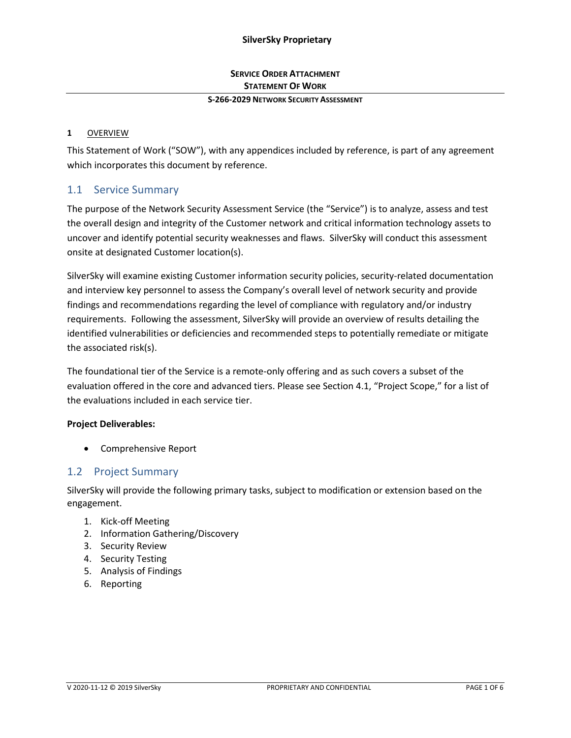# **SERVICE ORDER ATTACHMENT STATEMENT OF WORK**

#### **S-266-2029 NETWORK SECURITY ASSESSMENT**

### **1** OVERVIEW

This Statement of Work ("SOW"), with any appendices included by reference, is part of any agreement which incorporates this document by reference.

# 1.1 Service Summary

The purpose of the Network Security Assessment Service (the "Service") is to analyze, assess and test the overall design and integrity of the Customer network and critical information technology assets to uncover and identify potential security weaknesses and flaws. SilverSky will conduct this assessment onsite at designated Customer location(s).

SilverSky will examine existing Customer information security policies, security-related documentation and interview key personnel to assess the Company's overall level of network security and provide findings and recommendations regarding the level of compliance with regulatory and/or industry requirements. Following the assessment, SilverSky will provide an overview of results detailing the identified vulnerabilities or deficiencies and recommended steps to potentially remediate or mitigate the associated risk(s).

The foundational tier of the Service is a remote-only offering and as such covers a subset of the evaluation offered in the core and advanced tiers. Please see Section 4.1, "Project Scope," for a list of the evaluations included in each service tier.

### **Project Deliverables:**

• Comprehensive Report

# 1.2 Project Summary

SilverSky will provide the following primary tasks, subject to modification or extension based on the engagement.

- 1. Kick-off Meeting
- 2. Information Gathering/Discovery
- 3. Security Review
- 4. Security Testing
- 5. Analysis of Findings
- 6. Reporting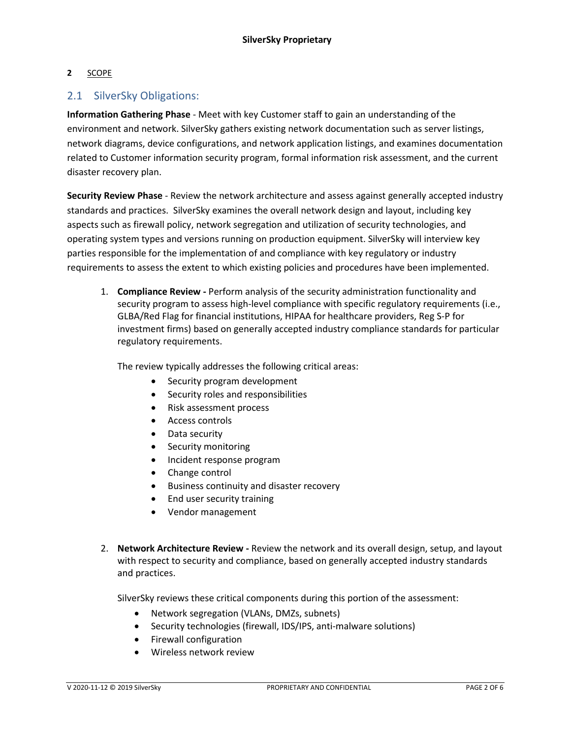### **2** SCOPE

## 2.1 SilverSky Obligations:

**Information Gathering Phase** - Meet with key Customer staff to gain an understanding of the environment and network. SilverSky gathers existing network documentation such as server listings, network diagrams, device configurations, and network application listings, and examines documentation related to Customer information security program, formal information risk assessment, and the current disaster recovery plan.

**Security Review Phase** - Review the network architecture and assess against generally accepted industry standards and practices. SilverSky examines the overall network design and layout, including key aspects such as firewall policy, network segregation and utilization of security technologies, and operating system types and versions running on production equipment. SilverSky will interview key parties responsible for the implementation of and compliance with key regulatory or industry requirements to assess the extent to which existing policies and procedures have been implemented.

1. **Compliance Review -** Perform analysis of the security administration functionality and security program to assess high-level compliance with specific regulatory requirements (i.e., GLBA/Red Flag for financial institutions, HIPAA for healthcare providers, Reg S-P for investment firms) based on generally accepted industry compliance standards for particular regulatory requirements.

The review typically addresses the following critical areas:

- Security program development
- Security roles and responsibilities
- Risk assessment process
- Access controls
- Data security
- Security monitoring
- Incident response program
- Change control
- Business continuity and disaster recovery
- End user security training
- Vendor management
- 2. **Network Architecture Review -** Review the network and its overall design, setup, and layout with respect to security and compliance, based on generally accepted industry standards and practices.

SilverSky reviews these critical components during this portion of the assessment:

- Network segregation (VLANs, DMZs, subnets)
- Security technologies (firewall, IDS/IPS, anti-malware solutions)
- Firewall configuration
- Wireless network review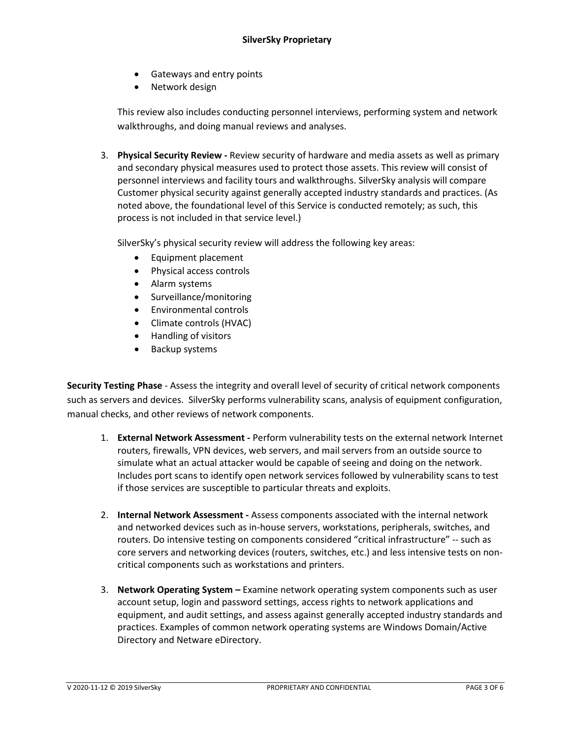- Gateways and entry points
- Network design

This review also includes conducting personnel interviews, performing system and network walkthroughs, and doing manual reviews and analyses.

3. **Physical Security Review -** Review security of hardware and media assets as well as primary and secondary physical measures used to protect those assets. This review will consist of personnel interviews and facility tours and walkthroughs. SilverSky analysis will compare Customer physical security against generally accepted industry standards and practices. (As noted above, the foundational level of this Service is conducted remotely; as such, this process is not included in that service level.)

SilverSky's physical security review will address the following key areas:

- Equipment placement
- Physical access controls
- Alarm systems
- Surveillance/monitoring
- Environmental controls
- Climate controls (HVAC)
- Handling of visitors
- Backup systems

**Security Testing Phase** - Assess the integrity and overall level of security of critical network components such as servers and devices. SilverSky performs vulnerability scans, analysis of equipment configuration, manual checks, and other reviews of network components.

- 1. **External Network Assessment -** Perform vulnerability tests on the external network Internet routers, firewalls, VPN devices, web servers, and mail servers from an outside source to simulate what an actual attacker would be capable of seeing and doing on the network. Includes port scans to identify open network services followed by vulnerability scans to test if those services are susceptible to particular threats and exploits.
- 2. **Internal Network Assessment -** Assess components associated with the internal network and networked devices such as in-house servers, workstations, peripherals, switches, and routers. Do intensive testing on components considered "critical infrastructure" -- such as core servers and networking devices (routers, switches, etc.) and less intensive tests on noncritical components such as workstations and printers.
- 3. **Network Operating System –** Examine network operating system components such as user account setup, login and password settings, access rights to network applications and equipment, and audit settings, and assess against generally accepted industry standards and practices. Examples of common network operating systems are Windows Domain/Active Directory and Netware eDirectory.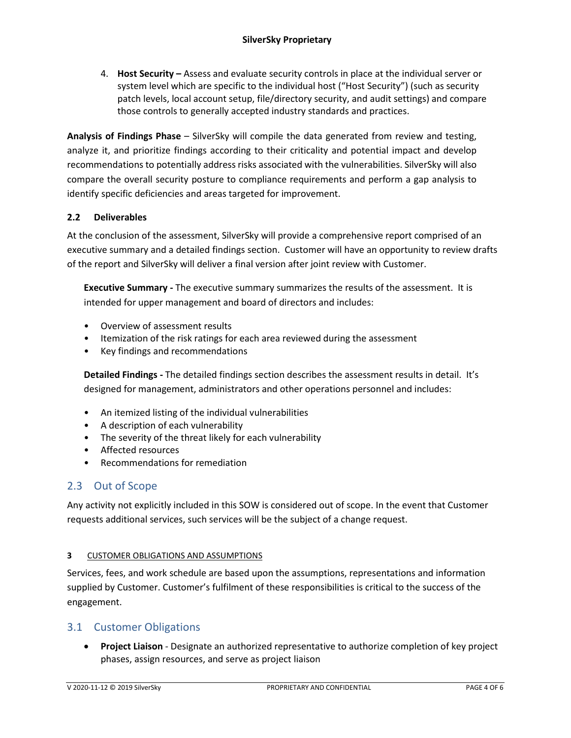4. **Host Security –** Assess and evaluate security controls in place at the individual server or system level which are specific to the individual host ("Host Security") (such as security patch levels, local account setup, file/directory security, and audit settings) and compare those controls to generally accepted industry standards and practices.

**Analysis of Findings Phase** – SilverSky will compile the data generated from review and testing, analyze it, and prioritize findings according to their criticality and potential impact and develop recommendations to potentially address risks associated with the vulnerabilities. SilverSky will also compare the overall security posture to compliance requirements and perform a gap analysis to identify specific deficiencies and areas targeted for improvement.

## **2.2 Deliverables**

At the conclusion of the assessment, SilverSky will provide a comprehensive report comprised of an executive summary and a detailed findings section. Customer will have an opportunity to review drafts of the report and SilverSky will deliver a final version after joint review with Customer.

**Executive Summary -** The executive summary summarizes the results of the assessment. It is intended for upper management and board of directors and includes:

- Overview of assessment results
- Itemization of the risk ratings for each area reviewed during the assessment
- Key findings and recommendations

**Detailed Findings -** The detailed findings section describes the assessment results in detail. It's designed for management, administrators and other operations personnel and includes:

- An itemized listing of the individual vulnerabilities
- A description of each vulnerability
- The severity of the threat likely for each vulnerability
- Affected resources
- Recommendations for remediation

# 2.3 Out of Scope

Any activity not explicitly included in this SOW is considered out of scope. In the event that Customer requests additional services, such services will be the subject of a change request.

## **3** CUSTOMER OBLIGATIONS AND ASSUMPTIONS

Services, fees, and work schedule are based upon the assumptions, representations and information supplied by Customer. Customer's fulfilment of these responsibilities is critical to the success of the engagement.

# 3.1 Customer Obligations

• **Project Liaison** - Designate an authorized representative to authorize completion of key project phases, assign resources, and serve as project liaison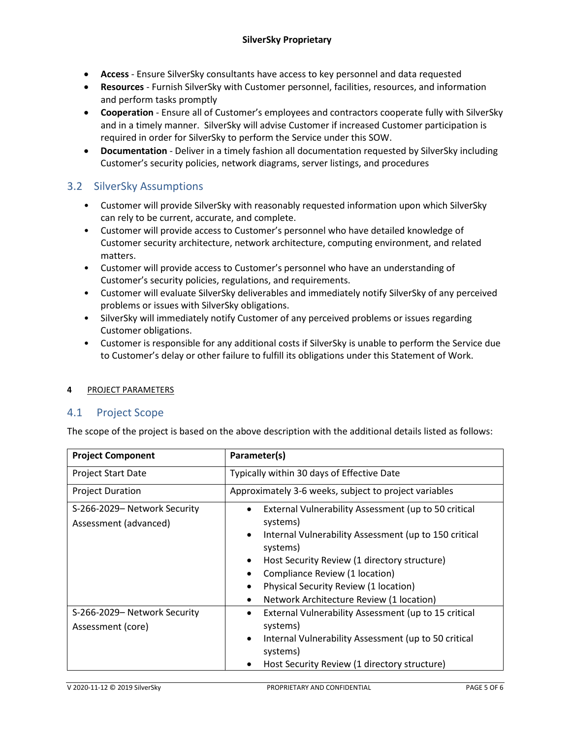- **Access**  Ensure SilverSky consultants have access to key personnel and data requested
- **Resources** Furnish SilverSky with Customer personnel, facilities, resources, and information and perform tasks promptly
- **Cooperation** Ensure all of Customer's employees and contractors cooperate fully with SilverSky and in a timely manner. SilverSky will advise Customer if increased Customer participation is required in order for SilverSky to perform the Service under this SOW.
- **Documentation** Deliver in a timely fashion all documentation requested by SilverSky including Customer's security policies, network diagrams, server listings, and procedures

# 3.2 SilverSky Assumptions

- Customer will provide SilverSky with reasonably requested information upon which SilverSky can rely to be current, accurate, and complete.
- Customer will provide access to Customer's personnel who have detailed knowledge of Customer security architecture, network architecture, computing environment, and related matters.
- Customer will provide access to Customer's personnel who have an understanding of Customer's security policies, regulations, and requirements.
- Customer will evaluate SilverSky deliverables and immediately notify SilverSky of any perceived problems or issues with SilverSky obligations.
- SilverSky will immediately notify Customer of any perceived problems or issues regarding Customer obligations.
- Customer is responsible for any additional costs if SilverSky is unable to perform the Service due to Customer's delay or other failure to fulfill its obligations under this Statement of Work.

## **4** PROJECT PARAMETERS

## 4.1 Project Scope

The scope of the project is based on the above description with the additional details listed as follows:

| <b>Project Component</b>                              | Parameter(s)                                                                                                                                                                                                                                                                                                                                             |
|-------------------------------------------------------|----------------------------------------------------------------------------------------------------------------------------------------------------------------------------------------------------------------------------------------------------------------------------------------------------------------------------------------------------------|
| <b>Project Start Date</b>                             | Typically within 30 days of Effective Date                                                                                                                                                                                                                                                                                                               |
| <b>Project Duration</b>                               | Approximately 3-6 weeks, subject to project variables                                                                                                                                                                                                                                                                                                    |
| S-266-2029- Network Security<br>Assessment (advanced) | External Vulnerability Assessment (up to 50 critical<br>$\bullet$<br>systems)<br>Internal Vulnerability Assessment (up to 150 critical<br>$\bullet$<br>systems)<br>Host Security Review (1 directory structure)<br>٠<br>Compliance Review (1 location)<br>Physical Security Review (1 location)<br>$\bullet$<br>Network Architecture Review (1 location) |
| S-266-2029- Network Security<br>Assessment (core)     | External Vulnerability Assessment (up to 15 critical<br>$\bullet$<br>systems)<br>Internal Vulnerability Assessment (up to 50 critical<br>$\bullet$<br>systems)<br>Host Security Review (1 directory structure)                                                                                                                                           |